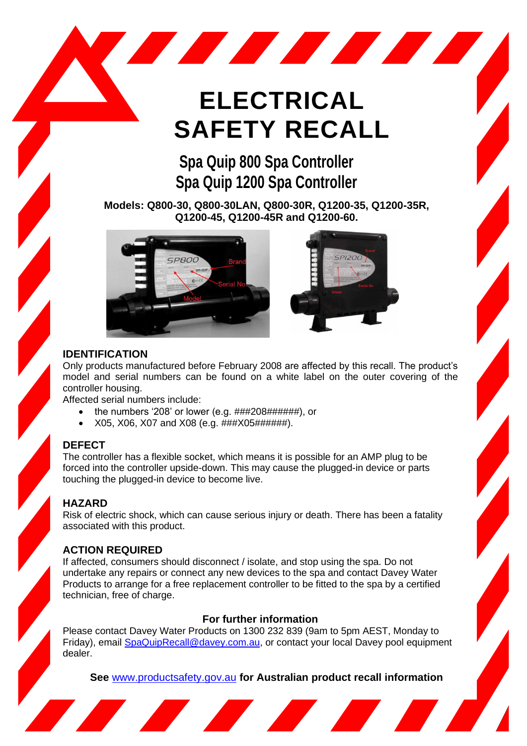# **ELECTRICAL SAFETY RECALL**

**STATISTICS** 

# **Spa Quip 800 Spa Controller Spa Quip 1200 Spa Controller**

**Models: Q800-30, Q800-30LAN, Q800-30R, Q1200-35, Q1200-35R, Q1200-45, Q1200-45R and Q1200-60.**





#### **IDENTIFICATION**

Only products manufactured before February 2008 are affected by this recall. The product's model and serial numbers can be found on a white label on the outer covering of the controller housing.

Affected serial numbers include:

- the numbers '208' or lower (e.g. ###208######), or
- X05, X06, X07 and X08 (e.g. ###X05######).

<u> a shekara ta 1980 kwa shekara ta 1980 kwa shekara ta 1980 kwa shekara ta 1980 kwa shekara ta 1980 kwa shekara ta 1980 kwa shekara ta 1980 kwa shekara ta 1980 kwa shekara ta 1980 kwa shekara ta 1980 kwa shekara ta 1980 kw</u>

## **DEFECT**

The controller has a flexible socket, which means it is possible for an AMP plug to be forced into the controller upside-down. This may cause the plugged-in device or parts touching the plugged-in device to become live.

## **HAZARD**

Risk of electric shock, which can cause serious injury or death. There has been a fatality associated with this product.

#### **ACTION REQUIRED**

If affected, consumers should disconnect / isolate, and stop using the spa. Do not undertake any repairs or connect any new devices to the spa and contact Davey Water Products to arrange for a free replacement controller to be fitted to the spa by a certified technician, free of charge.

## **For further information**

Please contact Davey Water Products on 1300 232 839 (9am to 5pm AEST, Monday to Friday), email **SpaQuipRecall@davey.com.au**, or contact your local Davey pool equipment dealer.

**See** [www.productsafety.gov.au](http://www.productsafety.gov.au/) **for Australian product recall information**

<u> Andrew Maria Barbara a Carlo a Carlo a Carlo a Carlo a Carlo a Carlo a Carlo a Carlo a Carlo a Carlo a Carlo</u>